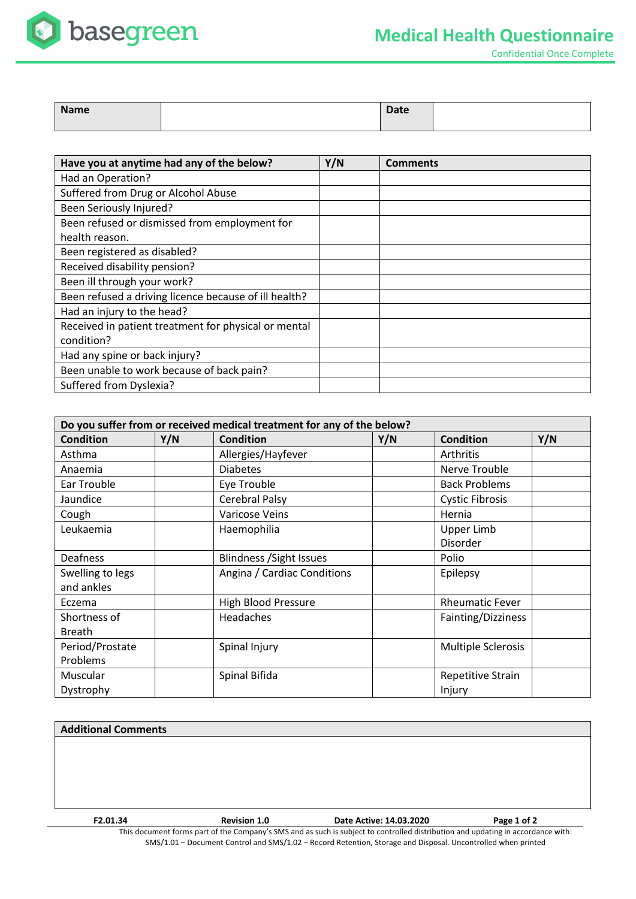

Confidential Once Complete

| <b>Name</b> | <b>Date</b> |  |
|-------------|-------------|--|
|             |             |  |

| Have you at anytime had any of the below?             | Y/N | <b>Comments</b> |
|-------------------------------------------------------|-----|-----------------|
| Had an Operation?                                     |     |                 |
| Suffered from Drug or Alcohol Abuse                   |     |                 |
| Been Seriously Injured?                               |     |                 |
| Been refused or dismissed from employment for         |     |                 |
| health reason.                                        |     |                 |
| Been registered as disabled?                          |     |                 |
| Received disability pension?                          |     |                 |
| Been ill through your work?                           |     |                 |
| Been refused a driving licence because of ill health? |     |                 |
| Had an injury to the head?                            |     |                 |
| Received in patient treatment for physical or mental  |     |                 |
| condition?                                            |     |                 |
| Had any spine or back injury?                         |     |                 |
| Been unable to work because of back pain?             |     |                 |
| Suffered from Dyslexia?                               |     |                 |

| Do you suffer from or received medical treatment for any of the below? |     |                                 |     |                        |     |  |
|------------------------------------------------------------------------|-----|---------------------------------|-----|------------------------|-----|--|
| <b>Condition</b>                                                       | Y/N | <b>Condition</b>                | Y/N | <b>Condition</b>       | Y/N |  |
| Asthma                                                                 |     | Allergies/Hayfever              |     | Arthritis              |     |  |
| Anaemia                                                                |     | <b>Diabetes</b>                 |     | Nerve Trouble          |     |  |
| Ear Trouble                                                            |     | Eye Trouble                     |     | <b>Back Problems</b>   |     |  |
| Jaundice                                                               |     | Cerebral Palsy                  |     | <b>Cystic Fibrosis</b> |     |  |
| Cough                                                                  |     | <b>Varicose Veins</b>           |     | Hernia                 |     |  |
| Leukaemia                                                              |     | Haemophilia                     |     | <b>Upper Limb</b>      |     |  |
|                                                                        |     |                                 |     | Disorder               |     |  |
| Deafness                                                               |     | <b>Blindness / Sight Issues</b> |     | Polio                  |     |  |
| Swelling to legs                                                       |     | Angina / Cardiac Conditions     |     | Epilepsy               |     |  |
| and ankles                                                             |     |                                 |     |                        |     |  |
| Eczema                                                                 |     | <b>High Blood Pressure</b>      |     | <b>Rheumatic Fever</b> |     |  |
| Shortness of                                                           |     | <b>Headaches</b>                |     | Fainting/Dizziness     |     |  |
| <b>Breath</b>                                                          |     |                                 |     |                        |     |  |
| Period/Prostate                                                        |     | Spinal Injury                   |     | Multiple Sclerosis     |     |  |
| Problems                                                               |     |                                 |     |                        |     |  |
| Muscular                                                               |     | Spinal Bifida                   |     | Repetitive Strain      |     |  |
| Dystrophy                                                              |     |                                 |     | Injury                 |     |  |

## **Additional Comments**

This document forms part of the Company's SMS and as such is subject to controlled distribution and updating in accordance with: SMS/1.01 – Document Control and SMS/1.02 – Record Retention, Storage and Disposal. Uncontrolled when printed